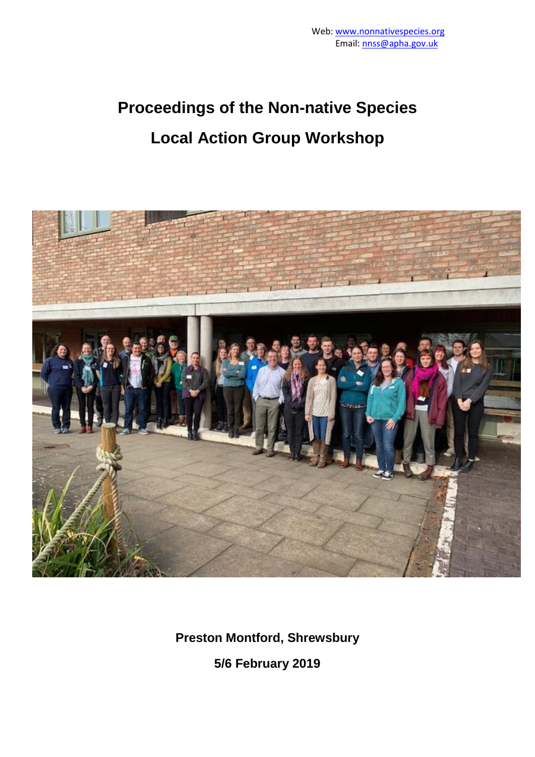# **Proceedings of the Non-native Species Local Action Group Workshop**



**Preston Montford, Shrewsbury**

**5/6 February 2019**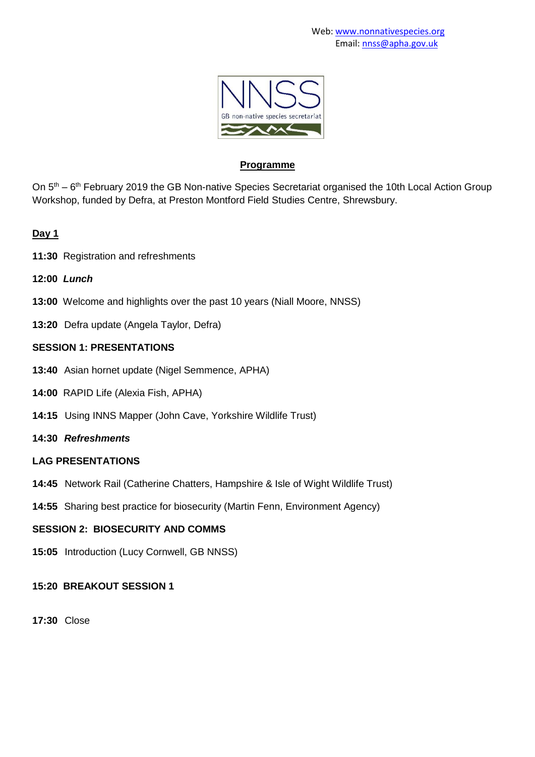

#### **Programme**

On  $5<sup>th</sup> - 6<sup>th</sup>$  February 2019 the GB Non-native Species Secretariat organised the 10th Local Action Group Workshop, funded by Defra, at Preston Montford Field Studies Centre, Shrewsbury.

# **Day 1**

- **11:30** Registration and refreshments
- **12:00** *Lunch*
- **13:00** Welcome and highlights over the past 10 years (Niall Moore, NNSS)
- **13:20** Defra update (Angela Taylor, Defra)

# **SESSION 1: PRESENTATIONS**

- **13:40** Asian hornet update (Nigel Semmence, APHA)
- **14:00** RAPID Life (Alexia Fish, APHA)
- **14:15** Using INNS Mapper (John Cave, Yorkshire Wildlife Trust)
- **14:30** *Refreshments*

# **LAG PRESENTATIONS**

- **14:45** Network Rail (Catherine Chatters, Hampshire & Isle of Wight Wildlife Trust)
- **14:55** Sharing best practice for biosecurity (Martin Fenn, Environment Agency)

# **SESSION 2: BIOSECURITY AND COMMS**

**15:05** Introduction (Lucy Cornwell, GB NNSS)

# **15:20 BREAKOUT SESSION 1**

**17:30** Close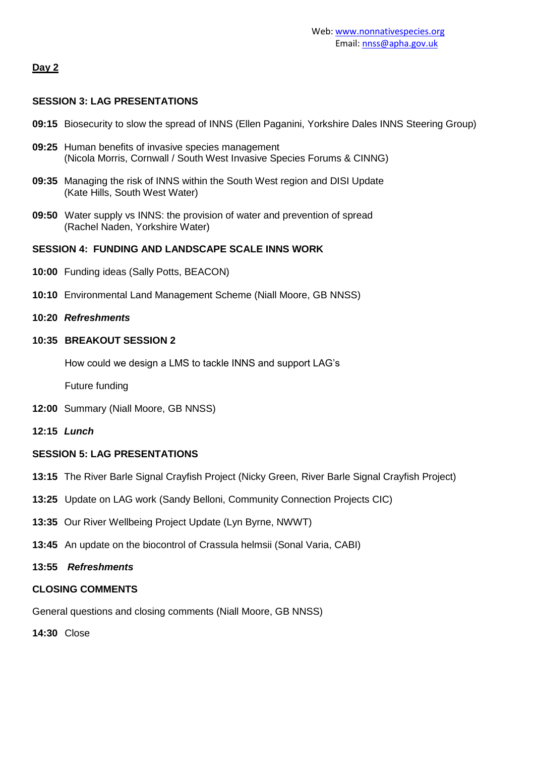# **Day 2**

#### **SESSION 3: LAG PRESENTATIONS**

- **09:15** Biosecurity to slow the spread of INNS (Ellen Paganini, Yorkshire Dales INNS Steering Group)
- **09:25** Human benefits of invasive species management (Nicola Morris, Cornwall / South West Invasive Species Forums & CINNG)
- **09:35** Managing the risk of INNS within the South West region and DISI Update (Kate Hills, South West Water)
- **09:50** Water supply vs INNS: the provision of water and prevention of spread (Rachel Naden, Yorkshire Water)

#### **SESSION 4: FUNDING AND LANDSCAPE SCALE INNS WORK**

- **10:00** Funding ideas (Sally Potts, BEACON)
- **10:10** Environmental Land Management Scheme (Niall Moore, GB NNSS)
- **10:20** *Refreshments*

#### **10:35 BREAKOUT SESSION 2**

How could we design a LMS to tackle INNS and support LAG's

Future funding

- **12:00** Summary (Niall Moore, GB NNSS)
- **12:15** *Lunch*

#### **SESSION 5: LAG PRESENTATIONS**

- **13:15** The River Barle Signal Crayfish Project (Nicky Green, River Barle Signal Crayfish Project)
- **13:25** Update on LAG work (Sandy Belloni, Community Connection Projects CIC)
- **13:35** Our River Wellbeing Project Update (Lyn Byrne, NWWT)
- **13:45** An update on the biocontrol of Crassula helmsii (Sonal Varia, CABI)
- **13:55** *Refreshments*

# **CLOSING COMMENTS**

General questions and closing comments (Niall Moore, GB NNSS)

**14:30** Close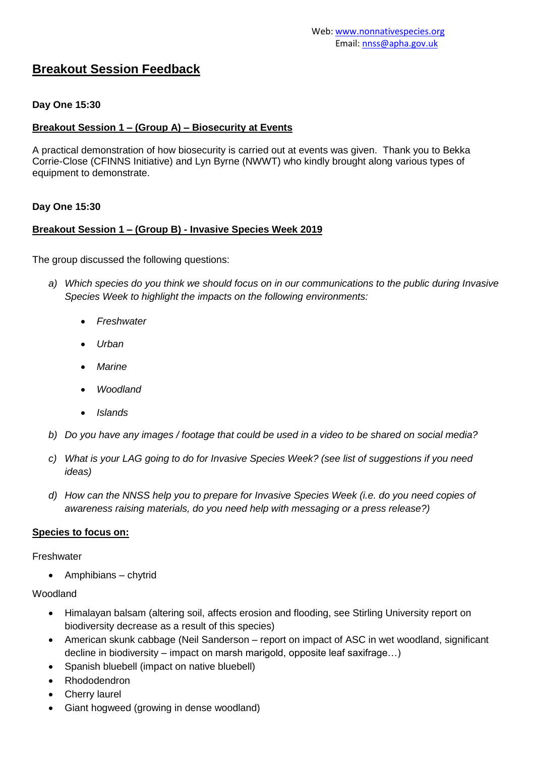# **Breakout Session Feedback**

#### **Day One 15:30**

#### **Breakout Session 1 – (Group A) – Biosecurity at Events**

A practical demonstration of how biosecurity is carried out at events was given. Thank you to Bekka Corrie-Close (CFINNS Initiative) and Lyn Byrne (NWWT) who kindly brought along various types of equipment to demonstrate.

#### **Day One 15:30**

#### **Breakout Session 1 – (Group B) - Invasive Species Week 2019**

The group discussed the following questions:

- *a) Which species do you think we should focus on in our communications to the public during Invasive Species Week to highlight the impacts on the following environments:*
	- *Freshwater*
	- *Urban*
	- *Marine*
	- *Woodland*
	- *Islands*
- *b) Do you have any images / footage that could be used in a video to be shared on social media?*
- *c) What is your LAG going to do for Invasive Species Week? (see list of suggestions if you need ideas)*
- *d) How can the NNSS help you to prepare for Invasive Species Week (i.e. do you need copies of awareness raising materials, do you need help with messaging or a press release?)*

#### **Species to focus on:**

Freshwater

Amphibians – chytrid

#### Woodland

- Himalayan balsam (altering soil, affects erosion and flooding, see Stirling University report on biodiversity decrease as a result of this species)
- American skunk cabbage (Neil Sanderson report on impact of ASC in wet woodland, significant decline in biodiversity – impact on marsh marigold, opposite leaf saxifrage…)
- Spanish bluebell (impact on native bluebell)
- Rhododendron
- Cherry laurel
- Giant hogweed (growing in dense woodland)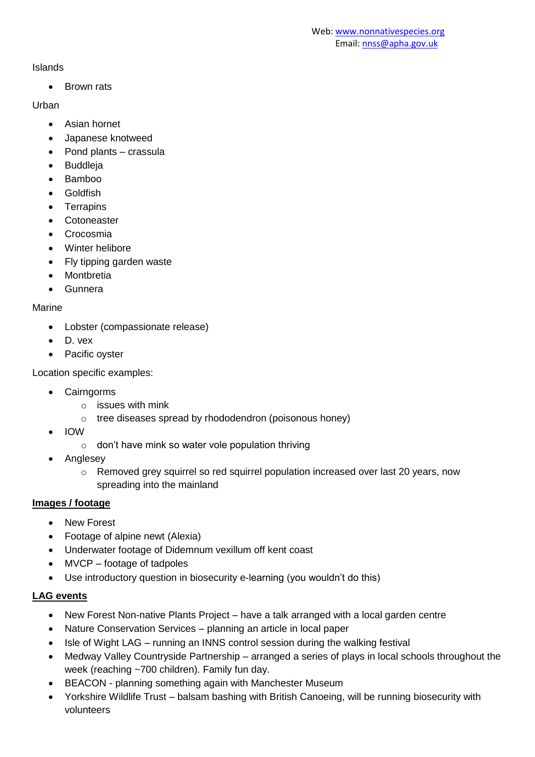# Islands

• Brown rats

# **Urban**

- Asian hornet
- Japanese knotweed
- Pond plants crassula
- Buddleja
- Bamboo
- **•** Goldfish
- Terrapins
- Cotoneaster
- Crocosmia
- Winter helibore
- Fly tipping garden waste
- Montbretia
- Gunnera

# Marine

- Lobster (compassionate release)
- D. vex
- Pacific oyster

Location specific examples:

- Cairngorms
	- o issues with mink
	- o tree diseases spread by rhododendron (poisonous honey)
- IOW
	- $\circ$  don't have mink so water vole population thriving
- Anglesey
	- $\circ$  Removed grey squirrel so red squirrel population increased over last 20 years, now spreading into the mainland

# **Images / footage**

- New Forest
- Footage of alpine newt (Alexia)
- Underwater footage of Didemnum vexillum off kent coast
- MVCP footage of tadpoles
- Use introductory question in biosecurity e-learning (you wouldn't do this)

# **LAG events**

- New Forest Non-native Plants Project have a talk arranged with a local garden centre
- Nature Conservation Services planning an article in local paper
- Isle of Wight LAG running an INNS control session during the walking festival
- Medway Valley Countryside Partnership arranged a series of plays in local schools throughout the week (reaching ~700 children). Family fun day.
- BEACON planning something again with Manchester Museum
- Yorkshire Wildlife Trust balsam bashing with British Canoeing, will be running biosecurity with volunteers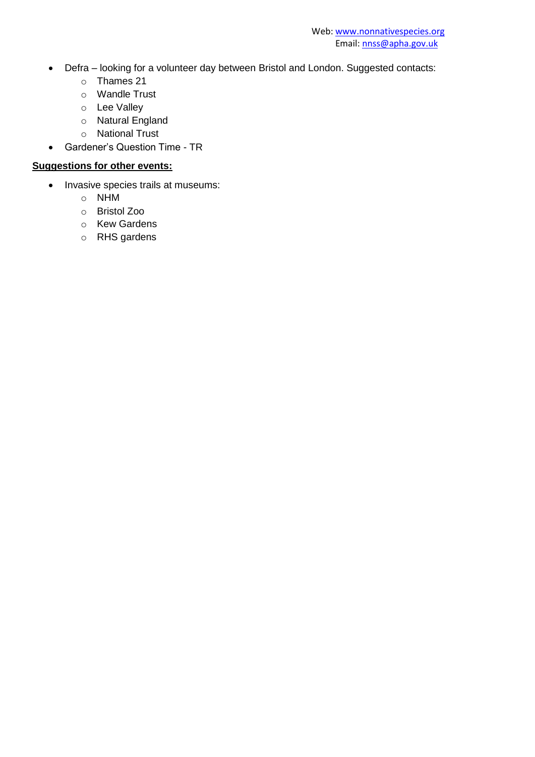- Defra looking for a volunteer day between Bristol and London. Suggested contacts:
	- o Thames 21
	- o Wandle Trust
	- o Lee Valley
	- o Natural England
	- o National Trust
- Gardener's Question Time TR

# **Suggestions for other events:**

- Invasive species trails at museums:
	- o NHM
	- o Bristol Zoo
	- o Kew Gardens
	- o RHS gardens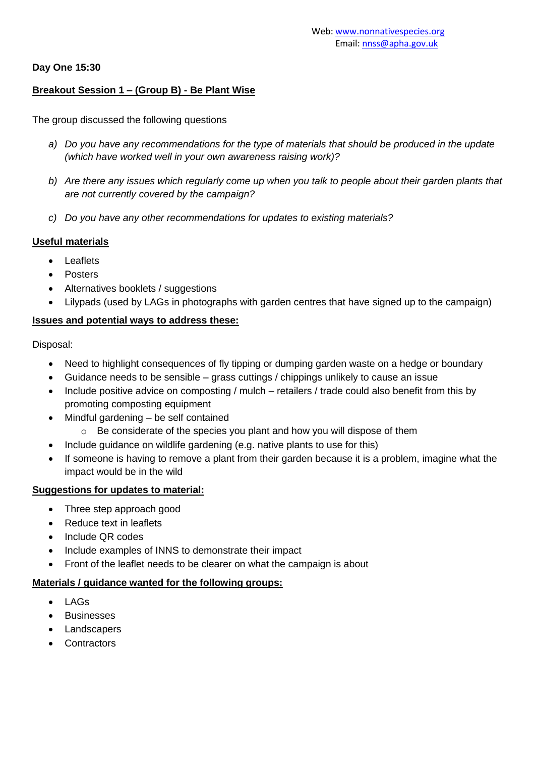#### **Day One 15:30**

## **Breakout Session 1 – (Group B) - Be Plant Wise**

The group discussed the following questions

- *a) Do you have any recommendations for the type of materials that should be produced in the update (which have worked well in your own awareness raising work)?*
- *b) Are there any issues which regularly come up when you talk to people about their garden plants that are not currently covered by the campaign?*
- *c) Do you have any other recommendations for updates to existing materials?*

#### **Useful materials**

- Leaflets
- Posters
- Alternatives booklets / suggestions
- Lilypads (used by LAGs in photographs with garden centres that have signed up to the campaign)

#### **Issues and potential ways to address these:**

Disposal:

- Need to highlight consequences of fly tipping or dumping garden waste on a hedge or boundary
- Guidance needs to be sensible grass cuttings / chippings unlikely to cause an issue
- Include positive advice on composting / mulch retailers / trade could also benefit from this by promoting composting equipment
- Mindful gardening be self contained
	- o Be considerate of the species you plant and how you will dispose of them
- Include guidance on wildlife gardening (e.g. native plants to use for this)
- If someone is having to remove a plant from their garden because it is a problem, imagine what the impact would be in the wild

#### **Suggestions for updates to material:**

- Three step approach good
- Reduce text in leaflets
- Include QR codes
- Include examples of INNS to demonstrate their impact
- Front of the leaflet needs to be clearer on what the campaign is about

#### **Materials / guidance wanted for the following groups:**

- LAGs
- Businesses
- Landscapers
- **Contractors**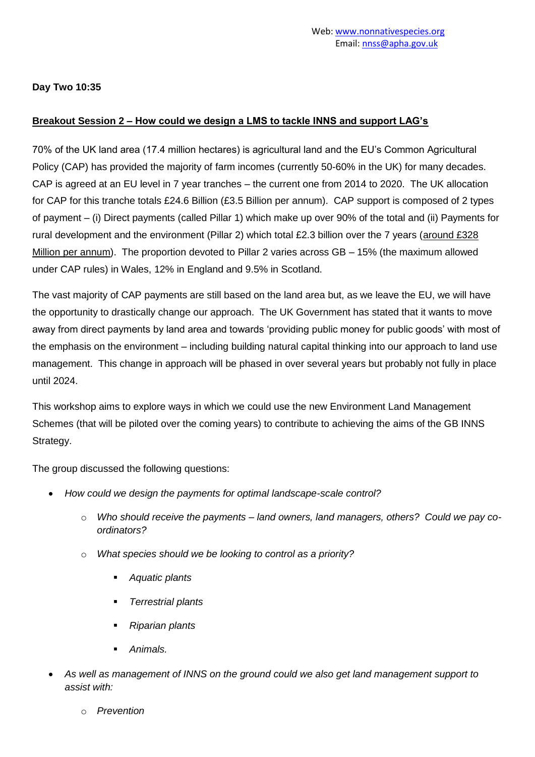**Day Two 10:35**

## **Breakout Session 2 – How could we design a LMS to tackle INNS and support LAG's**

70% of the UK land area (17.4 million hectares) is agricultural land and the EU's Common Agricultural Policy (CAP) has provided the majority of farm incomes (currently 50-60% in the UK) for many decades. CAP is agreed at an EU level in 7 year tranches – the current one from 2014 to 2020. The UK allocation for CAP for this tranche totals £24.6 Billion (£3.5 Billion per annum). CAP support is composed of 2 types of payment – (i) Direct payments (called Pillar 1) which make up over 90% of the total and (ii) Payments for rural development and the environment (Pillar 2) which total £2.3 billion over the 7 years (around £328 Million per annum). The proportion devoted to Pillar 2 varies across GB – 15% (the maximum allowed under CAP rules) in Wales, 12% in England and 9.5% in Scotland.

The vast majority of CAP payments are still based on the land area but, as we leave the EU, we will have the opportunity to drastically change our approach. The UK Government has stated that it wants to move away from direct payments by land area and towards 'providing public money for public goods' with most of the emphasis on the environment – including building natural capital thinking into our approach to land use management. This change in approach will be phased in over several years but probably not fully in place until 2024.

This workshop aims to explore ways in which we could use the new Environment Land Management Schemes (that will be piloted over the coming years) to contribute to achieving the aims of the GB INNS Strategy.

The group discussed the following questions:

- *How could we design the payments for optimal landscape-scale control?* 
	- o *Who should receive the payments – land owners, land managers, others? Could we pay coordinators?*
	- o *What species should we be looking to control as a priority?*
		- *Aquatic plants*
		- *Terrestrial plants*
		- *Riparian plants*
		- *Animals.*
- *As well as management of INNS on the ground could we also get land management support to assist with:*
	- o *Prevention*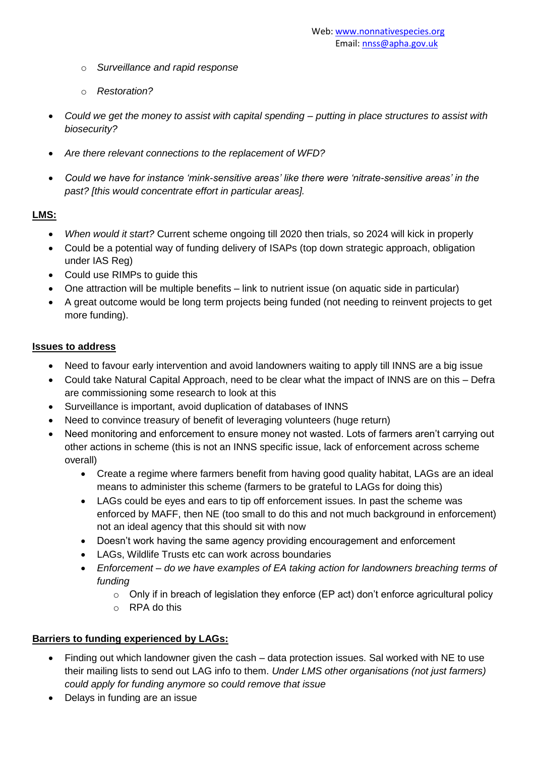- o *Surveillance and rapid response*
- o *Restoration?*
- *Could we get the money to assist with capital spending – putting in place structures to assist with biosecurity?*
- *Are there relevant connections to the replacement of WFD?*
- *Could we have for instance 'mink-sensitive areas' like there were 'nitrate-sensitive areas' in the past? [this would concentrate effort in particular areas].*

# **LMS:**

- *When would it start?* Current scheme ongoing till 2020 then trials, so 2024 will kick in properly
- Could be a potential way of funding delivery of ISAPs (top down strategic approach, obligation under IAS Reg)
- Could use RIMPs to guide this
- One attraction will be multiple benefits link to nutrient issue (on aquatic side in particular)
- A great outcome would be long term projects being funded (not needing to reinvent projects to get more funding).

# **Issues to address**

- Need to favour early intervention and avoid landowners waiting to apply till INNS are a big issue
- Could take Natural Capital Approach, need to be clear what the impact of INNS are on this Defra are commissioning some research to look at this
- Surveillance is important, avoid duplication of databases of INNS
- Need to convince treasury of benefit of leveraging volunteers (huge return)
- Need monitoring and enforcement to ensure money not wasted. Lots of farmers aren't carrying out other actions in scheme (this is not an INNS specific issue, lack of enforcement across scheme overall)
	- Create a regime where farmers benefit from having good quality habitat, LAGs are an ideal means to administer this scheme (farmers to be grateful to LAGs for doing this)
	- LAGs could be eyes and ears to tip off enforcement issues. In past the scheme was enforced by MAFF, then NE (too small to do this and not much background in enforcement) not an ideal agency that this should sit with now
	- Doesn't work having the same agency providing encouragement and enforcement
	- LAGs, Wildlife Trusts etc can work across boundaries
	- *Enforcement – do we have examples of EA taking action for landowners breaching terms of funding* 
		- o Only if in breach of legislation they enforce (EP act) don't enforce agricultural policy
		- o RPA do this

# **Barriers to funding experienced by LAGs:**

- Finding out which landowner given the cash data protection issues. Sal worked with NE to use their mailing lists to send out LAG info to them. *Under LMS other organisations (not just farmers) could apply for funding anymore so could remove that issue*
- Delays in funding are an issue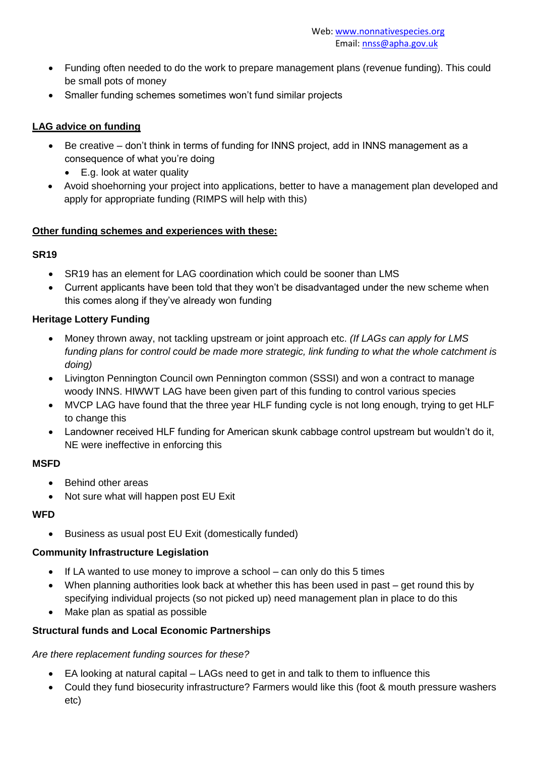- Funding often needed to do the work to prepare management plans (revenue funding). This could be small pots of money
- Smaller funding schemes sometimes won't fund similar projects

# **LAG advice on funding**

- Be creative don't think in terms of funding for INNS project, add in INNS management as a consequence of what you're doing
	- E.g. look at water quality
- Avoid shoehorning your project into applications, better to have a management plan developed and apply for appropriate funding (RIMPS will help with this)

#### **Other funding schemes and experiences with these:**

# **SR19**

- SR19 has an element for LAG coordination which could be sooner than LMS
- Current applicants have been told that they won't be disadvantaged under the new scheme when this comes along if they've already won funding

# **Heritage Lottery Funding**

- Money thrown away, not tackling upstream or joint approach etc. *(If LAGs can apply for LMS funding plans for control could be made more strategic, link funding to what the whole catchment is doing)*
- Livington Pennington Council own Pennington common (SSSI) and won a contract to manage woody INNS. HIWWT LAG have been given part of this funding to control various species
- MVCP LAG have found that the three year HLF funding cycle is not long enough, trying to get HLF to change this
- Landowner received HLF funding for American skunk cabbage control upstream but wouldn't do it, NE were ineffective in enforcing this

# **MSFD**

- Behind other areas
- Not sure what will happen post EU Exit

#### **WFD**

Business as usual post EU Exit (domestically funded)

# **Community Infrastructure Legislation**

- If LA wanted to use money to improve a school can only do this 5 times
- When planning authorities look back at whether this has been used in past get round this by specifying individual projects (so not picked up) need management plan in place to do this
- Make plan as spatial as possible

# **Structural funds and Local Economic Partnerships**

# *Are there replacement funding sources for these?*

- EA looking at natural capital LAGs need to get in and talk to them to influence this
- Could they fund biosecurity infrastructure? Farmers would like this (foot & mouth pressure washers etc)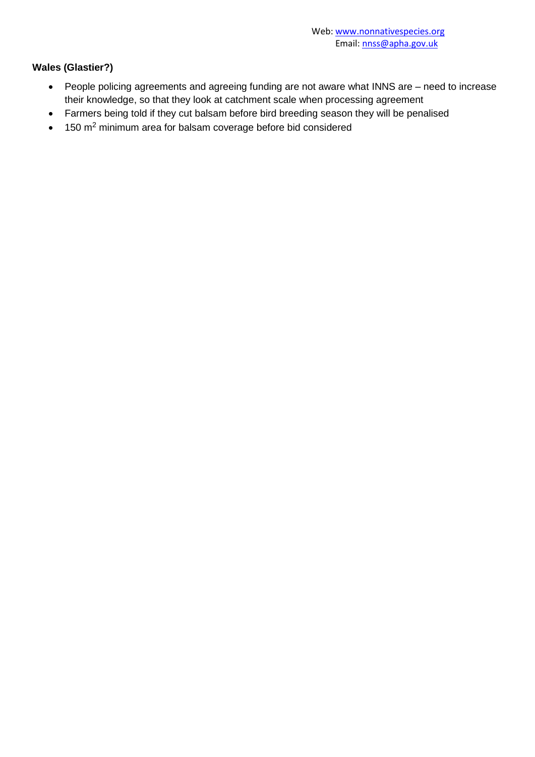# **Wales (Glastier?)**

- People policing agreements and agreeing funding are not aware what INNS are need to increase their knowledge, so that they look at catchment scale when processing agreement
- Farmers being told if they cut balsam before bird breeding season they will be penalised
- 150 m<sup>2</sup> minimum area for balsam coverage before bid considered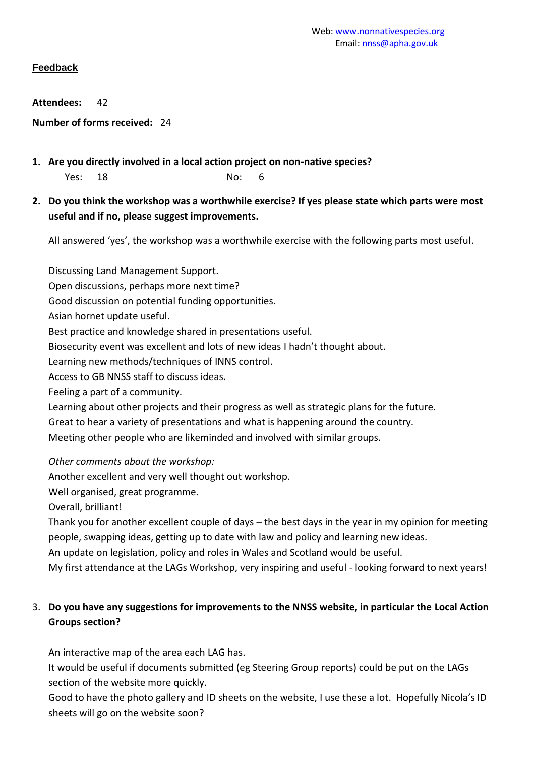# **Feedback**

**Attendees:** 42

**Number of forms received:** 24

**1. Are you directly involved in a local action project on non-native species?**

Yes: 18 No: 6

**2. Do you think the workshop was a worthwhile exercise? If yes please state which parts were most useful and if no, please suggest improvements.**

All answered 'yes', the workshop was a worthwhile exercise with the following parts most useful.

Discussing Land Management Support.

Open discussions, perhaps more next time?

Good discussion on potential funding opportunities.

Asian hornet update useful.

Best practice and knowledge shared in presentations useful.

Biosecurity event was excellent and lots of new ideas I hadn't thought about.

Learning new methods/techniques of INNS control.

Access to GB NNSS staff to discuss ideas.

Feeling a part of a community.

Learning about other projects and their progress as well as strategic plans for the future.

Great to hear a variety of presentations and what is happening around the country.

Meeting other people who are likeminded and involved with similar groups.

*Other comments about the workshop:*

Another excellent and very well thought out workshop.

Well organised, great programme.

Overall, brilliant!

Thank you for another excellent couple of days – the best days in the year in my opinion for meeting people, swapping ideas, getting up to date with law and policy and learning new ideas.

An update on legislation, policy and roles in Wales and Scotland would be useful.

My first attendance at the LAGs Workshop, very inspiring and useful - looking forward to next years!

# 3. **Do you have any suggestions for improvements to the NNSS website, in particular the Local Action Groups section?**

An interactive map of the area each LAG has.

It would be useful if documents submitted (eg Steering Group reports) could be put on the LAGs section of the website more quickly.

Good to have the photo gallery and ID sheets on the website, I use these a lot. Hopefully Nicola's ID sheets will go on the website soon?